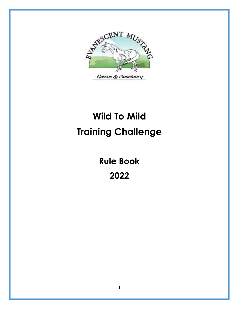

# **Wild To Mild Training Challenge**

**Rule Book** 

**2022**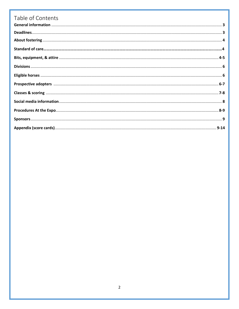| Table of Contents |  |
|-------------------|--|
|                   |  |
|                   |  |
|                   |  |
|                   |  |
|                   |  |
|                   |  |
|                   |  |
|                   |  |
|                   |  |
|                   |  |
|                   |  |
|                   |  |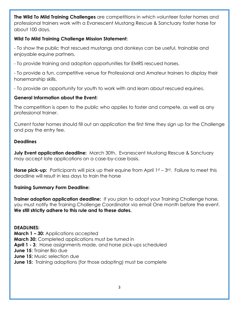**The Wild To Mild Training Challenges** are competitions in which volunteer foster homes and professional trainers work with a Evanescent Mustang Rescue & Sanctuary foster horse for about 100 days.

# **Wild To Mild Training Challenge Mission Statement:**

- To show the public that rescued mustangs and donkeys can be useful, trainable and enjoyable equine partners.

- To provide training and adoption opportunities for EMRS rescued horses.

- To provide a fun, competitive venue for Professional and Amateur trainers to display their horsemanship skills.

- To provide an opportunity for youth to work with and learn about rescued equines.

# **General Information about the Event:**

The competition is open to the public who applies to foster and compete, as well as any professional trainer.

Current foster homes should fill out an application the first time they sign up for the Challenge and pay the entry fee.

# **Deadlines**

**July Event application deadline:** March 30th. Evanescent Mustang Rescue & Sanctuary may accept late applications on a case-by-case basis.

**Horse pick-up:** Participants will pick up their equine from April 1st – 3rd. Failure to meet this deadline will result in less days to train the horse

# **Training Summary Form Deadline:**

**Trainer adoption application deadline:** If you plan to adopt your Training Challenge horse, you must notify the Training Challenge Coordinator via email One month before the event. **We still strictly adhere to this rule and to these dates.**

# **DEADLINES:**

**March 1 – 30:** Applications accepted **March 30:** Completed applications must be turned in **April 1 - 3**: Horse assignments made, and horse pick-ups scheduled **June 15**: Trainer Bio due **June 15:** Music selection due **June 15:** Training adoptions (for those adopting) must be complete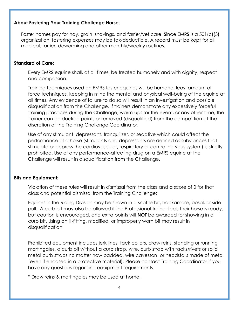# **About Fostering Your Training Challenge Horse**:

Foster homes pay for hay, grain, shavings, and farrier/vet care. Since EMRS is a 501(c)(3) organization, fostering expenses may be tax-deductible. A record must be kept for all medical, farrier, deworming and other monthly/weekly routines.

#### **Standard of Care:**

Every EMRS equine shall, at all times, be treated humanely and with dignity, respect and compassion.

Training techniques used on EMRS foster equines will be humane, least amount of force techniques, keeping in mind the mental and physical well-being of the equine at all times. Any evidence of failure to do so will result in an investigation and possible disqualification from the Challenge. If trainers demonstrate any excessively forceful training practices during the Challenge, warm-ups for the event, or any other time, the trainer can be docked points or removed (disqualified) from the competition at the discretion of the Training Challenge Coordinator.

Use of any stimulant, depressant, tranquilizer, or sedative which could affect the performance of a horse (stimulants and depressants are defined as substances that stimulate or depress the cardiovascular, respiratory or central nervous system) is strictly prohibited. Use of any performance-affecting drug on a EMRS equine at the Challenge will result in disqualification from the Challenge.

# **Bits and Equipment:**

Violation of these rules will result in dismissal from the class and a score of 0 for that class and potential dismissal from the Training Challenge:

Equines in the Riding Division may be shown in a snaffle bit, hackamore, bosal, or side pull. A curb bit may also be allowed if the Professional trainer feels their horse is ready, but caution is encouraged, and extra points will **NOT** be awarded for showing in a curb bit. Using an ill-fitting, modified, or improperly worn bit may result in disqualification.

Prohibited equipment includes jerk lines, tack collars, draw reins, standing or running martingales, a curb bit without a curb strap, wire, curb strap with tacks/rivets or solid metal curb straps no matter how padded, wire cavesson, or headstalls made of metal (even if encased in a protective material). Please contact Training Coordinator if you have any questions regarding equipment requirements.

\* Draw reins & martingales may be used at home.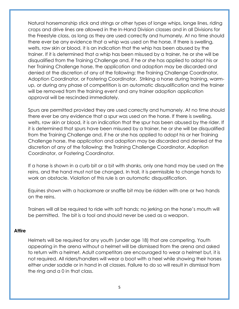Natural horsemanship stick and strings or other types of longe whips, longe lines, riding crops and drive lines are allowed in the In-Hand Division classes and in all Divisions for the Freestyle class, as long as they are used correctly and humanely. At no time should there ever be any evidence that a whip was used on the horse. If there is swelling, welts, raw skin or blood, it is an indication that the whip has been abused by the trainer. If it is determined that a whip has been misused by a trainer, he or she will be disqualified from the Training Challenge and, if he or she has applied to adopt his or her Training Challenge horse, the application and adoption may be discarded and denied at the discretion of any of the following: the Training Challenge Coordinator, Adoption Coordinator, or Fostering Coordinator. Striking a horse during training, warmup, or during any phase of competition is an automatic disqualification and the trainer will be removed from the training event and any trainer adoption application approval will be rescinded immediately.

Spurs are permitted provided they are used correctly and humanely. At no time should there ever be any evidence that a spur was used on the horse. If there is swelling, welts, raw skin or blood, it is an indication that the spur has been abused by the rider. If it is determined that spurs have been misused by a trainer, he or she will be disqualified from the Training Challenge and, if he or she has applied to adopt his or her Training Challenge horse, the application and adoption may be discarded and denied at the discretion of any of the following: the Training Challenge Coordinator, Adoption Coordinator, or Fostering Coordinator.

If a horse is shown in a curb bit or a bit with shanks, only one hand may be used on the reins, and the hand must not be changed. In trail, it is permissible to change hands to work an obstacle. Violation of this rule is an automatic disqualification.

Equines shown with a hackamore or snaffle bit may be ridden with one or two hands on the reins.

Trainers will all be required to ride with soft hands; no jerking on the horse's mouth will be permitted. The bit is a tool and should never be used as a weapon.

# **Attire**

Helmets will be required for any youth (under age 18) that are competing. Youth appearing in the arena without a helmet will be dismissed from the arena and asked to return with a helmet. Adult competitors are encouraged to wear a helmet but, it is not required. All riders/handlers will wear a boot with a heel while showing their horses either under saddle or in hand in all classes. Failure to do so will result in dismissal from the ring and a 0 in that class.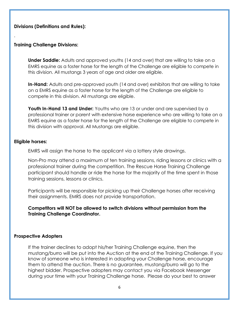# **Divisions (Definitions and Rules):**

#### **Training Challenge Divisions:**

.

**Under Saddle:** Adults and approved youths (14 and over) that are willing to take on a EMRS equine as a foster horse for the length of the Challenge are eligible to compete in this division. All mustangs 3 years of age and older are eligible.

**In-Hand:** Adults and pre-approved youth (14 and over) exhibitors that are willing to take on a EMRS equine as a foster horse for the length of the Challenge are eligible to compete in this division. All mustangs are eligible.

**Youth In-Hand 13 and Under:** Youths who are 13 or under and are supervised by a professional trainer or parent with extensive horse experience who are willing to take on a EMRS equine as a foster horse for the length of the Challenge are eligible to compete in this division with approval. All Mustangs are eligible.

#### **Eligible horses:**

EMRS will assign the horse to the applicant via a lottery style drawings.

Non-Pro may attend a maximum of ten training sessions, riding lessons or clinics with a professional trainer during the competition. The Rescue Horse Training Challenge participant should handle or ride the horse for the majority of the time spent in those training sessions, lessons or clinics.

Participants will be responsible for picking up their Challenge horses after receiving their assignments. EMRS does not provide transportation.

**Competitors will NOT be allowed to switch divisions without permission from the Training Challenge Coordinator.**

#### **Prospective Adopters**

If the trainer declines to adopt his/her Training Challenge equine, then the mustang/burro will be put into the Auction at the end of the Training Challenge. If you know of someone who is interested in adopting your Challenge horse, encourage them to attend the auction. There is no guarantee, mustang/burro will go to the highest bidder. Prospective adopters may contact you via Facebook Messenger during your time with your Training Challenge horse. Please do your best to answer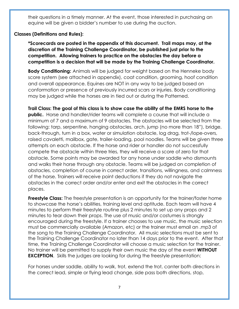their questions in a timely manner. At the event, those interested in purchasing an equine will be given a bidder's number to use during the auction.

# **Classes (Definitions and Rules):**

**\*Scorecards are posted in the appendix of this document. Trail maps may, at the discretion of the Training Challenge Coordinator, be published just prior to the competition. Allowing trainers to practice on the obstacles the day before a competition is a decision that will be made by the Training Challenge Coordinator.** 

**Body Conditioning:** Animals will be judged for weight based on the Henneke body score system (see attached in appendix), coat condition, grooming, hoof condition and overall appearance. Equines are NOT in any way to be judged based on conformation or presence of previously incurred scars or injuries. Body conditioning may be judged while the horses are in tied out or during the Patterned.

**Trail Class: The goal of this class is to show case the ability of the EMRS horse to the public.** Horse and handler/rider teams will complete a course that will include a minimum of 7 and a maximum of 9 obstacles. The obstacles will be selected from the following: tarp, serpentine, hanging obstacles, arch, jump (no more than 18"), bridge, back-through, turn in a box, water or simulation obstacle, log drag, trot-/lope-overs, raised cavaletti, mailbox, gate, trailer-loading, pool noodles. Teams will be given three attempts on each obstacle. If the horse and rider or handler do not successfully compete the obstacle within three tries, they will receive a score of zero for that obstacle. Some points may be awarded for any horse under saddle who dismounts and walks their horse through any obstacle. Teams will be judged on completion of obstacles, completion of course in correct order, transitions, willingness, and calmness of the horse. Trainers will receive point deductions if they do not navigate the obstacles in the correct order and/or enter and exit the obstacles in the correct places.

**Freestyle Class:** The freestyle presentation is an opportunity for the trainer/foster home to showcase the horse's abilities, training level and aptitude. Each team will have 4 minutes to perform their freestyle routine plus 2 minutes to set up any props and 2 minutes to tear down their props. The use of music and/or costumes is strongly encouraged during the freestyle. If a trainer chooses to use music, the music selection must be commercially available (Amazon, etc) or the trainer must email an .mp3 of the song to the Training Challenge Coordinator. All music selections must be sent to the Training Challenge Coordinator no later than 14 days prior to the event. After that time, the Training Challenge Coordinator will choose a music selection for the trainer. No trainer will be permitted to supply their own music the day of the event **WITHOUT EXCEPTION.** Skills the judges are looking for during the freestyle presentation:

For horses under saddle, ability to walk, trot, extend the trot, canter both directions in the correct lead, simple or flying lead change, side pass both directions, stop,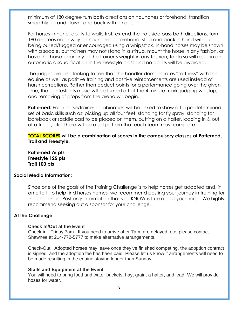minimum of 180 degree turn both directions on haunches or forehand, transition smoothly up and down, and back with a rider.

For horses in hand, ability to walk, trot, extend the trot, side pass both directions, turn 180 degrees each way on haunches or forehand, stop and back in hand without being pulled/tugged or encouraged using a whip/stick. In-hand horses may be shown with a saddle, but trainers may not stand in a stirrup, mount the horse in any fashion, or have the horse bear any of the trainer's weight in any fashion; to do so will result in an automatic disqualification in the Freestyle class and no points will be awarded.

The judges are also looking to see that the handler demonstrates "softness" with the equine as well as positive training and positive reinforcements are used instead of harsh corrections. Rather than deduct points for a performance going over the given time, the contestants music will be turned off at the 4 minute mark, judging will stop, and removing of props from the arena will begin.

**Patterned:** Each horse/trainer combination will be asked to show off a predetermined set of basic skills such as: picking up all four feet, standing for fly spray, standing for bareback or saddle pad to be placed on them, putting on a halter, loading in & out of a trailer, etc. There will be a set pattern that each team must complete.

**TOTAL SCORES will be a combination of scores in the compulsory classes of Patterned, Trail and Freestyle.**

**Patterned 75 pts Freestyle 125 pts Trail 100 pts**

#### **Social Media Information:**

Since one of the goals of the Training Challenge is to help horses get adopted and, in an effort, to help find horses homes, we recommend posting your journey in training for this challenge. Post only information that you KNOW is true about your horse. We highly recommend seeking out a sponsor for your challenge.

#### **At the Challenge**

#### **Check In/Out at the Event**

Check-in: Friday 7am. If you need to arrive after 7am, are delayed, etc, please contact Shawnee at 214-772-5777 to make alternative arrangements.

Check-Out: Adopted horses may leave once they've finished competing, the adoption contract is signed, and the adoption fee has been paid. Please let us know if arrangements will need to be made resulting in the equine staying longer than Sunday.

#### **Stalls and Equipment at the Event**

You will need to bring food and water buckets, hay, grain, a halter, and lead. We will provide hoses for water.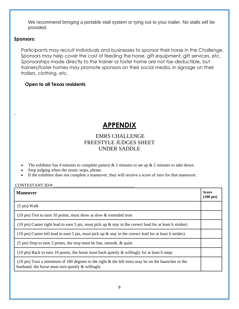We recommend bringing a portable stall system or tying out to your trailer. No stalls will be provided.

#### **Sponsors:**

-

Participants may recruit individuals and businesses to sponsor their horse in the Challenge. Sponsors may help cover the cost of feeding the horse, gift equipment, gift services, etc. Sponsorships made directly to the trainer or foster home are not tax-deductible, but trainers/foster homes may promote sponsors on their social media, in signage on their trailers, clothing, etc.

# **Open to all Texas residents**

# **APPENDIX**

# EMRS CHALLENGE FREESTYLE JUDGES SHEET UNDER SADDLE

- The exhibitor has 4 minutes to complete pattern  $& 2$  minutes to set up  $& 2$  minutes to take down.
- Stop judging when the music stops, please.
- If the exhibitor does not complete a maneuver, they will receive a score of zero for that maneuver.

#### CONTESTANT ID/#:

| <b>Maneuver</b>                                                                                                                                                       | <b>Score</b><br>$(100 \text{ pts})$ |
|-----------------------------------------------------------------------------------------------------------------------------------------------------------------------|-------------------------------------|
| $(5 \text{ pts})$ Walk                                                                                                                                                |                                     |
| (10 pts) Trot to earn 10 points, must show at slow $\&$ extended trots                                                                                                |                                     |
| (10 pts) Canter right lead to earn 5 pts, must pick up $\&$ stay in the correct lead for at least 6 strides)                                                          |                                     |
| (10 pts) Canter left lead to earn 5 pts, must pick up $\&$ stay in the correct lead for at least 6 strides)                                                           |                                     |
| $(5 \text{ pts})$ Stop to earn 5 points, the stop must be fast, smooth, & quiet                                                                                       |                                     |
| (10 pts) Back to earn 10 points, the horse must back quietly $\&$ willingly for at least 6 steps                                                                      |                                     |
| $(10 \text{ pts})$ Turn a minimum of 180 degrees to the right & the left turns may be on the haunches or the<br>forehand, the horse must turn quietly $\&$ willingly. |                                     |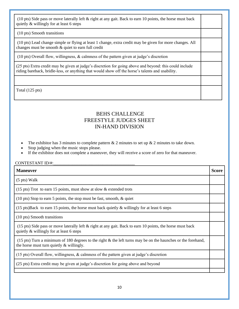(10 pts) Side pass or move laterally left & right at any gait. Back to earn 10 points, the horse must back quietly & willingly for at least 6 steps

(10 pts) Smooth transitions

(10 pts) Lead change simple or flying at least 1 change, extra credit may be given for more changes. All changes must be smooth & quiet to earn full credit

(10 pts) Overall flow, willingness, & calmness of the pattern given at judge's discretion

(25 pts) Extra credit may be given at judge's discretion for going above and beyond: this could include riding bareback, bridle-less, or anything that would show off the horse's talents and usability.

Total (125 pts)

# BEHS CHALLENGE FREESTYLE JUDGES SHEET IN-HAND DIVISION

- The exhibitor has 3 minutes to complete pattern  $& 2$  minutes to set up  $& 2$  minutes to take down.
- Stop judging when the music stops please.
- If the exhibitor does not complete a maneuver, they will receive a score of zero for that maneuver.

#### CONTESTANT ID/#:\_\_\_\_\_\_\_\_\_\_\_\_\_\_\_\_\_\_\_\_\_\_\_\_\_\_\_\_\_\_\_\_\_\_\_\_\_\_

| <b>Maneuver</b>                                                                                                                                                       | Score |
|-----------------------------------------------------------------------------------------------------------------------------------------------------------------------|-------|
| $(5 \text{ pts})$ Walk                                                                                                                                                |       |
| $(15 \text{ pts})$ Trot to earn 15 points, must show at slow & extended trots                                                                                         |       |
| $(10 \text{ pts})$ Stop to earn 5 points, the stop must be fast, smooth, & quiet                                                                                      |       |
| $(15 \text{ pts})$ Back to earn 15 points, the horse must back quietly & willingly for at least 6 steps                                                               |       |
| (10 pts) Smooth transitions                                                                                                                                           |       |
| (15 pts) Side pass or move laterally left & right at any gait. Back to earn 10 points, the horse must back<br>quietly & willingly for at least 6 steps                |       |
| $(15 \text{ pts})$ Turn a minimum of 180 degrees to the right & the left turns may be on the haunches or the forehand,<br>the horse must turn quietly $\&$ willingly. |       |
| (15 pts) Overall flow, willingness, & calmness of the pattern given at judge's discretion                                                                             |       |
| (25 pts) Extra credit may be given at judge's discretion for going above and beyond                                                                                   |       |
|                                                                                                                                                                       |       |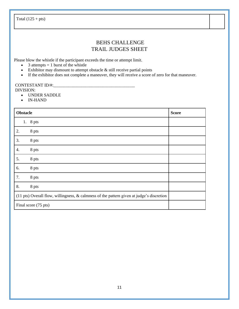Total  $(125 + pts)$ 

# BEHS CHALLENGE TRAIL JUDGES SHEET

Please blow the whistle if the participant exceeds the time or attempt limit.

- 3 attempts  $= 1$  burst of the whistle
- Exhibitor may dismount to attempt obstacle & still receive partial points
- If the exhibitor does not complete a maneuver, they will receive a score of zero for that maneuver.

# CONTESTANT ID/#:

- DIVISION:
	- UNDER SADDLE
	- IN-HAND

| <b>Obstacle</b>                                                                           | <b>Score</b>         |  |
|-------------------------------------------------------------------------------------------|----------------------|--|
| 1.                                                                                        | 8 pts                |  |
| 2.                                                                                        | 8 pts                |  |
| 3.                                                                                        | 8 pts                |  |
| 4.                                                                                        | 8 pts                |  |
| 5.                                                                                        | 8 pts                |  |
| 6.                                                                                        | 8 pts                |  |
| 7.                                                                                        | 8 pts                |  |
| 8.                                                                                        | 8 pts                |  |
| (11 pts) Overall flow, willingness, & calmness of the pattern given at judge's discretion |                      |  |
|                                                                                           | Final score (75 pts) |  |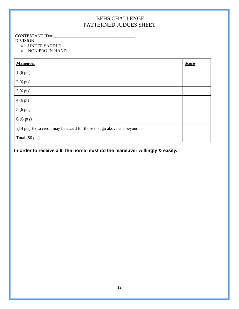# BEHS CHALLENGE PATTERNED JUDGES SHEET

# CONTESTANT ID/#:\_\_\_\_\_\_\_\_\_\_\_\_\_\_\_\_\_\_\_\_\_\_\_\_\_\_\_\_\_\_\_\_\_\_\_\_\_\_

DIVISION:

- UNDER SADDLE
- NON-PRO IN-HAND

| <b>Maneuver</b>                                                        | <b>Score</b> |
|------------------------------------------------------------------------|--------------|
| $1.6$ pts)                                                             |              |
| $2.6$ pts)                                                             |              |
| $3.6$ pts)                                                             |              |
| $4. (6 \text{ pts})$                                                   |              |
| $5.(6 \text{ pts})$                                                    |              |
| $6.6$ pts)                                                             |              |
| (14 pts) Extra credit may be award for those that go above and beyond. |              |
| Total (50 pts)                                                         |              |

# **In order to receive a 6, the horse must do the maneuver willingly & easily.**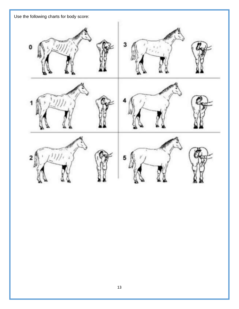